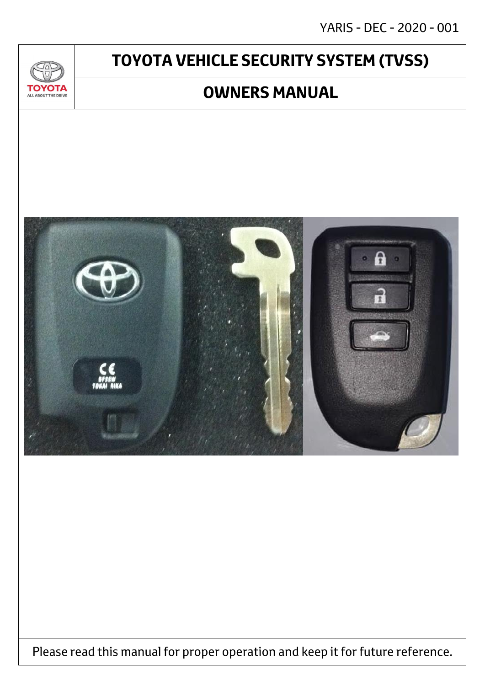# **TOYOTA VEHICLE SECURITY SYSTEM (TVSS)**

 $\mathcal{U}$ 

**TOYOTA** ALL ABOUT THE DRIVE

## **OWNERS MANUAL**



Please read this manual for proper operation and keep it for future reference.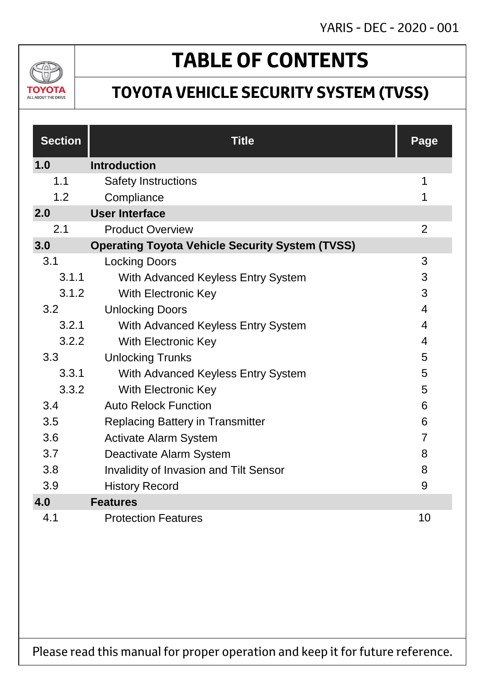

# **TABLE OF CONTENTS**

## **TOYOTA VEHICLE SECURITY SYSTEM (TVSS)**

| <b>Section</b> | <b>Title</b>                                           | Page           |
|----------------|--------------------------------------------------------|----------------|
| 1.0            | <b>Introduction</b>                                    |                |
| 1.1            | <b>Safety Instructions</b>                             | 1              |
| 1.2            | Compliance                                             | 1              |
| 2.0            | <b>User Interface</b>                                  |                |
| 2.1            | <b>Product Overview</b>                                | $\overline{2}$ |
| 3.0            | <b>Operating Toyota Vehicle Security System (TVSS)</b> |                |
| 3.1            | <b>Locking Doors</b>                                   | 3              |
| 3.1.1          | With Advanced Keyless Entry System                     | 3              |
| 3.1.2          | With Electronic Key                                    | 3              |
| 3.2            | <b>Unlocking Doors</b>                                 | $\overline{4}$ |
| 3.2.1          | With Advanced Keyless Entry System                     | 4              |
| 3.2.2          | With Electronic Key                                    | 4              |
| 3.3            | <b>Unlocking Trunks</b>                                | 5              |
| 3.3.1          | With Advanced Keyless Entry System                     | 5              |
| 3.3.2          | <b>With Electronic Key</b>                             | 5              |
| 3.4            | <b>Auto Relock Function</b>                            | 6              |
| 3.5            | <b>Replacing Battery in Transmitter</b>                | 6              |
| 3.6            | <b>Activate Alarm System</b>                           | $\overline{7}$ |
| 3.7            | Deactivate Alarm System                                | 8              |
| 3.8            | <b>Invalidity of Invasion and Tilt Sensor</b>          | 8              |
| 3.9            | <b>History Record</b>                                  | 9              |
| 4.0            | <b>Features</b>                                        |                |
| 4.1            | <b>Protection Features</b>                             | 10             |

Please read this manual for proper operation and keep it for future reference.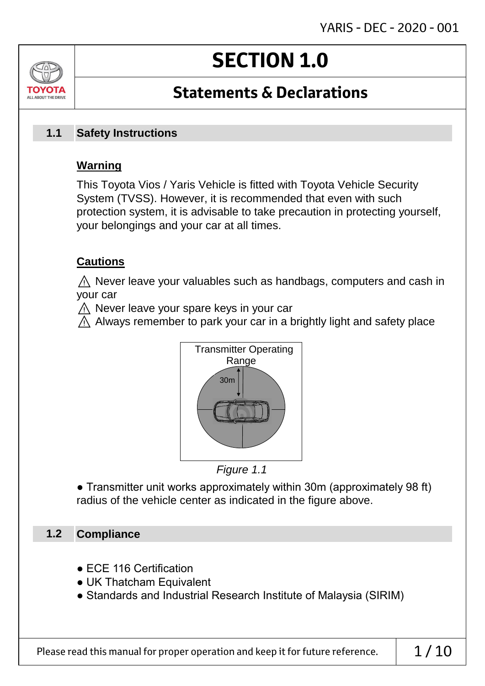# **SECTION 1.0**

## **Statements & Declarations**

#### **Safety Instructions 1.1**

## **Warning**

ALL AROUT THE DRIV

This Toyota Vios / Yaris Vehicle is fitted with Toyota Vehicle Security System (TVSS). However, it is recommended that even with such protection system, it is advisable to take precaution in protecting yourself, your belongings and your car at all times.

## **Cautions**

 $\land$  Never leave your valuables such as handbags, computers and cash in your car

⚠ Never leave your spare keys in your car

 $\wedge$  Always remember to park your car in a brightly light and safety place





● Transmitter unit works approximately within 30m (approximately 98 ft) radius of the vehicle center as indicated in the figure above.

#### **Compliance 1.2**

- ECE 116 Certification
- UK Thatcham Equivalent
- Standards and Industrial Research Institute of Malaysia (SIRIM)

Please read this manual for proper operation and keep it for future reference.  $\vert$  1/10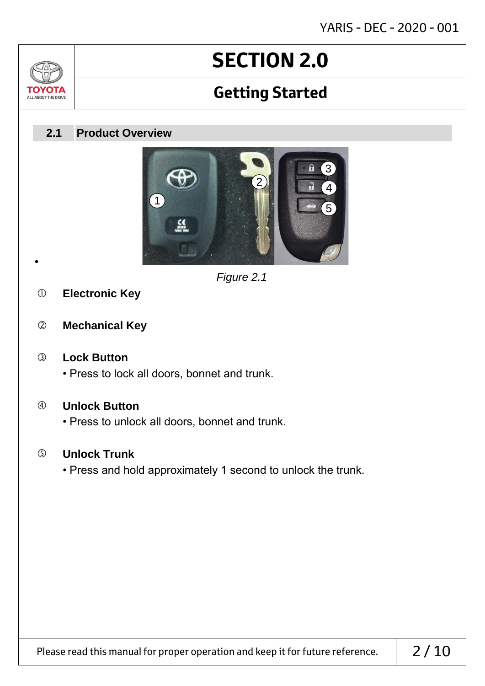# **SECTION 2.0**

## **Getting Started**

#### **Product Overview 2.1**



*Figure 2.1*

**Electronic Key**

•

7δ

TOVOTZ ALL ABOUT THE DRIVE

**Mechanical Key**

### **Lock Button**

• Press to lock all doors, bonnet and trunk.

### **Unlock Button**

• Press to unlock all doors, bonnet and trunk.

### **Unlock Trunk**

• Press and hold approximately 1 second to unlock the trunk.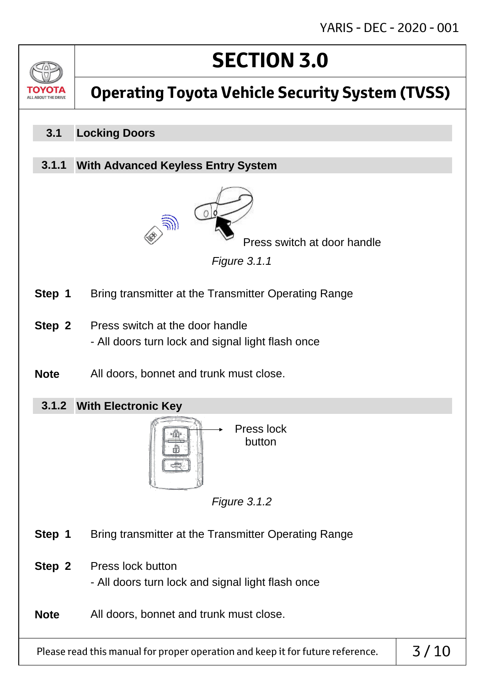# **SECTION 3.0**



## **Operating Toyota Vehicle Security System (TVSS)**

#### **Locking Doors 3.1**

#### **With Advanced Keyless Entry System 3.1.1**



Press switch at door handle

*Figure 3.1.1*

- **Step 1** Bring transmitter at the Transmitter Operating Range
- **Step 2** Press switch at the door handle - All doors turn lock and signal light flash once
- **Note** All doors, bonnet and trunk must close.
	- **With Electronic Key 3.1.2**



*Figure 3.1.2*

- **Step 1** Bring transmitter at the Transmitter Operating Range
- **Step 2** Press lock button - All doors turn lock and signal light flash once
- **Note** All doors, bonnet and trunk must close.

Please read this manual for proper operation and keep it for future reference.  $\vert$  3/10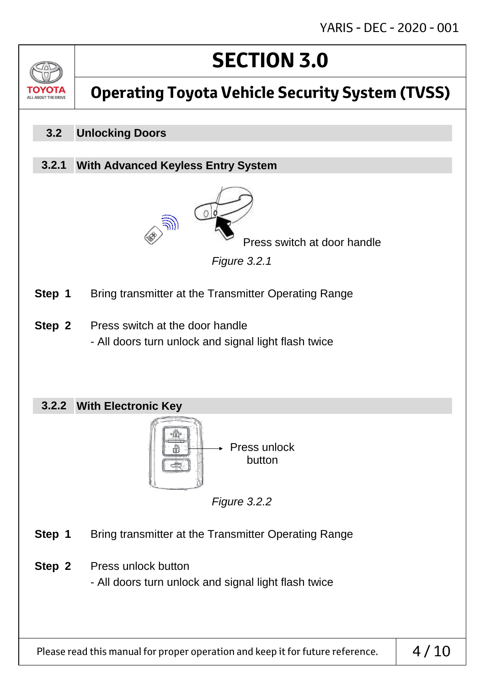# **SECTION 3.0**



## **Operating Toyota Vehicle Security System (TVSS)**

#### **Unlocking Doors 3.2**

#### **With Advanced Keyless Entry System 3.2.1**



Press switch at door handle

*Figure 3.2.1*

- **Step 1** Bring transmitter at the Transmitter Operating Range
- **Step 2** Press switch at the door handle - All doors turn unlock and signal light flash twice

### **With Electronic Key 3.2.2**



*Figure 3.2.2*

- **Step 1** Bring transmitter at the Transmitter Operating Range
- **Step 2** Press unlock button

- All doors turn unlock and signal light flash twice

Please read this manual for proper operation and keep it for future reference.  $\vert 4/10$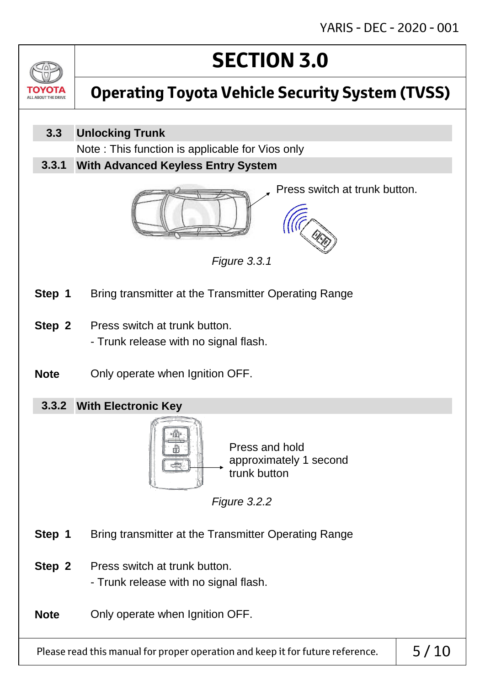

# **Operating Toyota Vehicle Security System (TVSS)**

#### **Unlocking Trunk 3.3**

Note : This function is applicable for Vios only

**With Advanced Keyless Entry System 3.3.1**



Press switch at trunk button.



- **Step 1** Bring transmitter at the Transmitter Operating Range
- **Step 2** Press switch at trunk button. - Trunk release with no signal flash.
- **Note** Only operate when Ignition OFF.

## **With Electronic Key 3.3.2**



*Figure 3.3.1*

*Figure 3.2.2*

**Step 1** Bring transmitter at the Transmitter Operating Range

- **Step 2** Press switch at trunk button.
	- Trunk release with no signal flash.

**Note** Only operate when Ignition OFF.

Please read this manual for proper operation and keep it for future reference.  $\vert$  5/10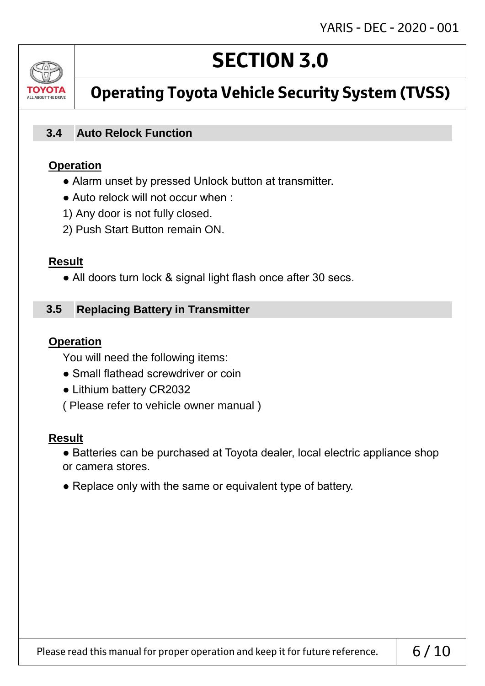

## **Operating Toyota Vehicle Security System (TVSS)**

#### **Auto Relock Function 3.4**

#### **Operation**

- Alarm unset by pressed Unlock button at transmitter.
- Auto relock will not occur when :
- 1) Any door is not fully closed.
- 2) Push Start Button remain ON.

#### **Result**

• All doors turn lock & signal light flash once after 30 secs.

#### **Replacing Battery in Transmitter 3.5**

#### **Operation**

You will need the following items:

- Small flathead screwdriver or coin
- Lithium battery CR2032
- ( Please refer to vehicle owner manual )

#### **Result**

- Batteries can be purchased at Toyota dealer, local electric appliance shop or camera stores.
- Replace only with the same or equivalent type of battery.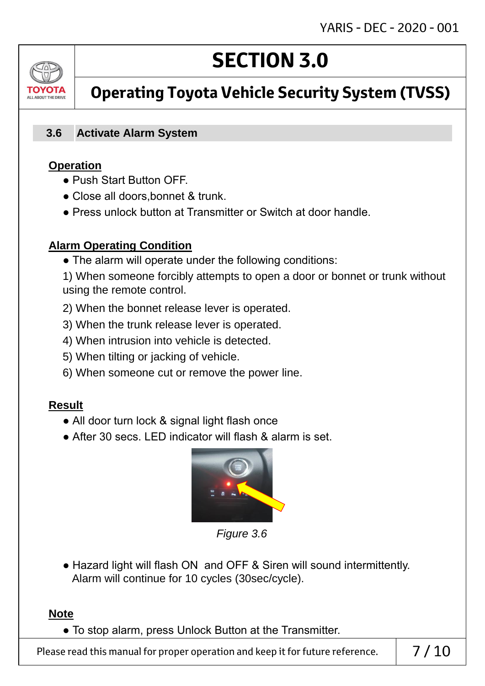# ALL AROUT THE DRIV

# **SECTION 3.0**

## **Operating Toyota Vehicle Security System (TVSS)**

#### **Activate Alarm System 3.6**

## **Operation**

- Push Start Button OFF.
- Close all doors, bonnet & trunk.
- Press unlock button at Transmitter or Switch at door handle.

## **Alarm Operating Condition**

• The alarm will operate under the following conditions:

1) When someone forcibly attempts to open a door or bonnet or trunk without using the remote control.

- 2) When the bonnet release lever is operated.
- 3) When the trunk release lever is operated.
- 4) When intrusion into vehicle is detected.
- 5) When tilting or jacking of vehicle.
- 6) When someone cut or remove the power line.

## **Result**

- All door turn lock & signal light flash once
- After 30 secs. LED indicator will flash & alarm is set.



*Figure 3.6*

• Hazard light will flash ON and OFF & Siren will sound intermittently. Alarm will continue for 10 cycles (30sec/cycle).

## **Note**

● To stop alarm, press Unlock Button at the Transmitter.

Please read this manual for proper operation and keep it for future reference.  $\vert$  7/10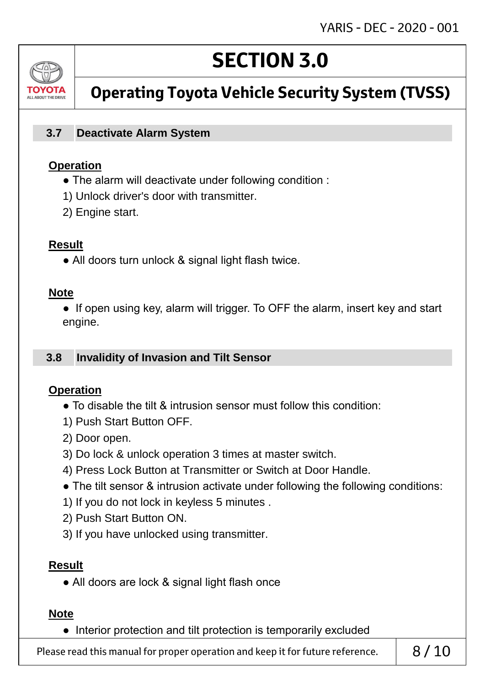

## **Operating Toyota Vehicle Security System (TVSS)**

#### **Deactivate Alarm System 3.7**

#### **Operation**

- The alarm will deactivate under following condition :
- 1) Unlock driver's door with transmitter.
- 2) Engine start.

#### **Result**

• All doors turn unlock & signal light flash twice.

#### **Note**

• If open using key, alarm will trigger. To OFF the alarm, insert key and start engine.

#### **Invalidity of Invasion and Tilt Sensor 3.8**

#### **Operation**

- To disable the tilt & intrusion sensor must follow this condition:
- 1) Push Start Button OFF.
- 2) Door open.
- 3) Do lock & unlock operation 3 times at master switch.
- 4) Press Lock Button at Transmitter or Switch at Door Handle.
- The tilt sensor & intrusion activate under following the following conditions:
- 1) If you do not lock in keyless 5 minutes .
- 2) Push Start Button ON.
- 3) If you have unlocked using transmitter.

#### **Result**

• All doors are lock & signal light flash once

#### **Note**

● Interior protection and tilt protection is temporarily excluded

Please read this manual for proper operation and keep it for future reference.  $\begin{array}{c} \mid \\ \mid \quad \frac{8}{10} \end{array}$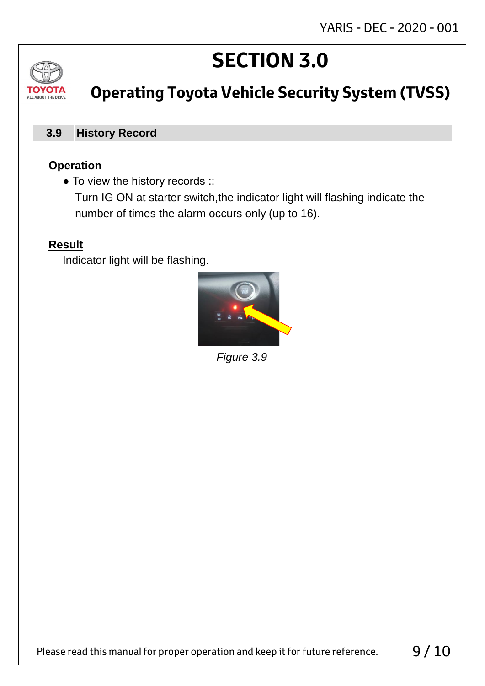

# **Operating Toyota Vehicle Security System (TVSS)**

#### **History Record 3.9**

## **Operation**

• To view the history records ::

 Turn IG ON at starter switch,the indicator light will flashing indicate the number of times the alarm occurs only (up to 16).

## **Result**

Indicator light will be flashing.



*Figure 3.9*